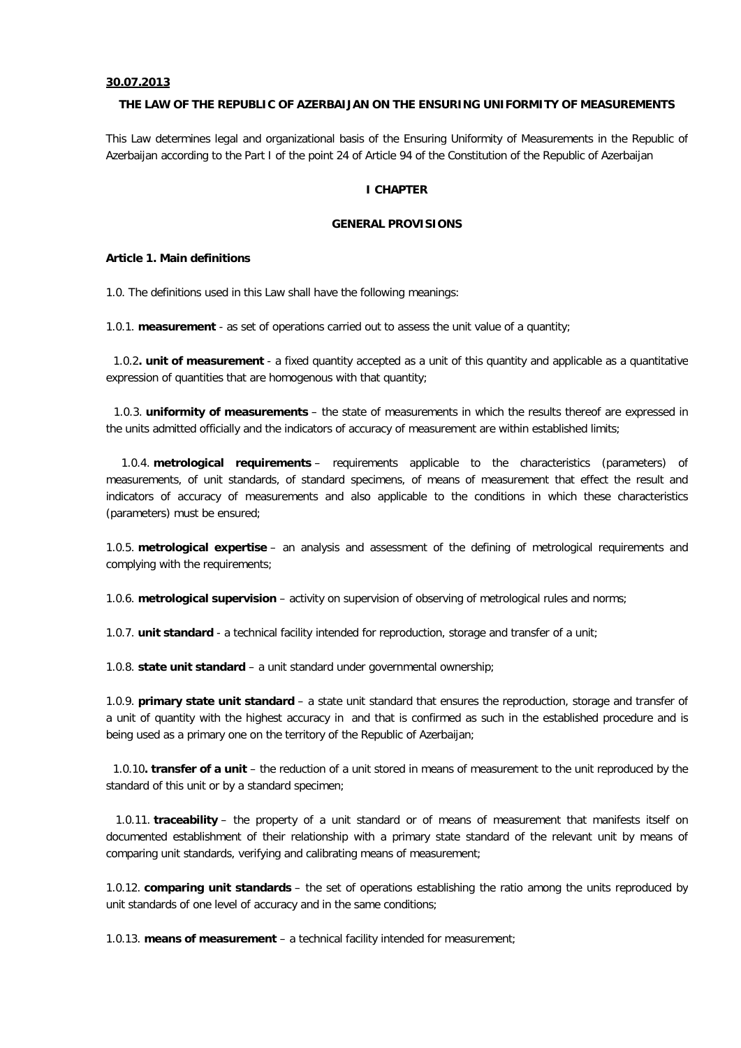#### **30.07.2013**

#### **THE LAW OF THE REPUBLIC OF AZERBAIJAN ON THE ENSURING UNIFORMITY OF MEASUREMENTS**

This Law determines legal and organizational basis of the Ensuring Uniformity of Measurements in the Republic of Azerbaijan according to the Part I of the point 24 of Article 94 of the Constitution of the Republic of Azerbaijan

#### **I CHAPTER**

#### **GENERAL PROVISIONS**

#### **Article 1. Main definitions**

1.0. The definitions used in this Law shall have the following meanings:

1.0.1. **measurement** - as set of operations carried out to assess the unit value of a quantity;

1.0.2**. unit of measurement** - a fixed quantity accepted as a unit of this quantity and applicable as a quantitative expression of quantities that are homogenous with that quantity;

1.0.3. **uniformity of measurements** – the state of measurements in which the results thereof are expressed in the units admitted officially and the indicators of accuracy of measurement are within established limits;

1.0.4. **metrological requirements** – requirements applicable to the characteristics (parameters) of measurements, of unit standards, of standard specimens, of means of measurement that effect the result and indicators of accuracy of measurements and also applicable to the conditions in which these characteristics (parameters) must be ensured;

1.0.5. **metrological expertise** – an analysis and assessment of the defining of metrological requirements and complying with the requirements;

1.0.6. **metrological supervision** – activity on supervision of observing of metrological rules and norms;

1.0.7. **unit standard** - a technical facility intended for reproduction, storage and transfer of a unit;

1.0.8. **state unit standard** – a unit standard under governmental ownership;

1.0.9. **primary state unit standard** – a state unit standard that ensures the reproduction, storage and transfer of a unit of quantity with the highest accuracy in and that is confirmed as such in the established procedure and is being used as a primary one on the territory of the Republic of Azerbaijan;

1.0.10**. transfer of a unit** – the reduction of a unit stored in means of measurement to the unit reproduced by the standard of this unit or by a standard specimen;

1.0.11. **traceability** – the property of a unit standard or of means of measurement that manifests itself on documented establishment of their relationship with a primary state standard of the relevant unit by means of comparing unit standards, verifying and calibrating means of measurement;

1.0.12. **comparing unit standards** – the set of operations establishing the ratio among the units reproduced by unit standards of one level of accuracy and in the same conditions;

1.0.13. **means of measurement** – a technical facility intended for measurement;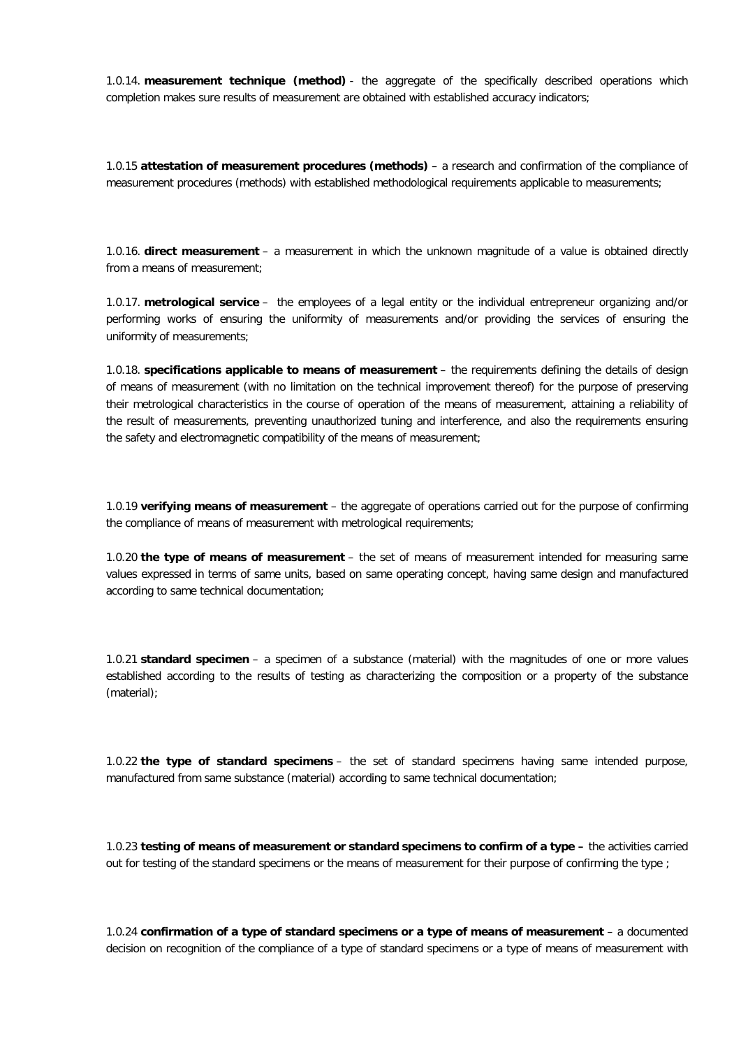1.0.14. **measurement technique (method)** - the aggregate of the specifically described operations which completion makes sure results of measurement are obtained with established accuracy indicators;

1.0.15 **attestation of measurement procedures (methods)** – a research and confirmation of the compliance of measurement procedures (methods) with established methodological requirements applicable to measurements;

1.0.16. **direct measurement** – a measurement in which the unknown magnitude of a value is obtained directly from a means of measurement;

1.0.17. **metrological service** – the employees of a legal entity or the individual entrepreneur organizing and/or performing works of ensuring the uniformity of measurements and/or providing the services of ensuring the uniformity of measurements;

1.0.18. **specifications applicable to means of measurement** – the requirements defining the details of design of means of measurement (with no limitation on the technical improvement thereof) for the purpose of preserving their metrological characteristics in the course of operation of the means of measurement, attaining a reliability of the result of measurements, preventing unauthorized tuning and interference, and also the requirements ensuring the safety and electromagnetic compatibility of the means of measurement;

1.0.19 **verifying means of measurement** – the aggregate of operations carried out for the purpose of confirming the compliance of means of measurement with metrological requirements;

1.0.20 **the type of means of measurement** – the set of means of measurement intended for measuring same values expressed in terms of same units, based on same operating concept, having same design and manufactured according to same technical documentation;

1.0.21 **standard specimen** – a specimen of a substance (material) with the magnitudes of one or more values established according to the results of testing as characterizing the composition or a property of the substance (material);

1.0.22 **the type of standard specimens** – the set of standard specimens having same intended purpose, manufactured from same substance (material) according to same technical documentation;

1.0.23 **testing of means of measurement or standard specimens to confirm of a type –** the activities carried out for testing of the standard specimens or the means of measurement for their purpose of confirming the type ;

1.0.24 **confirmation of a type of standard specimens or a type of means of measurement** – a documented decision on recognition of the compliance of a type of standard specimens or a type of means of measurement with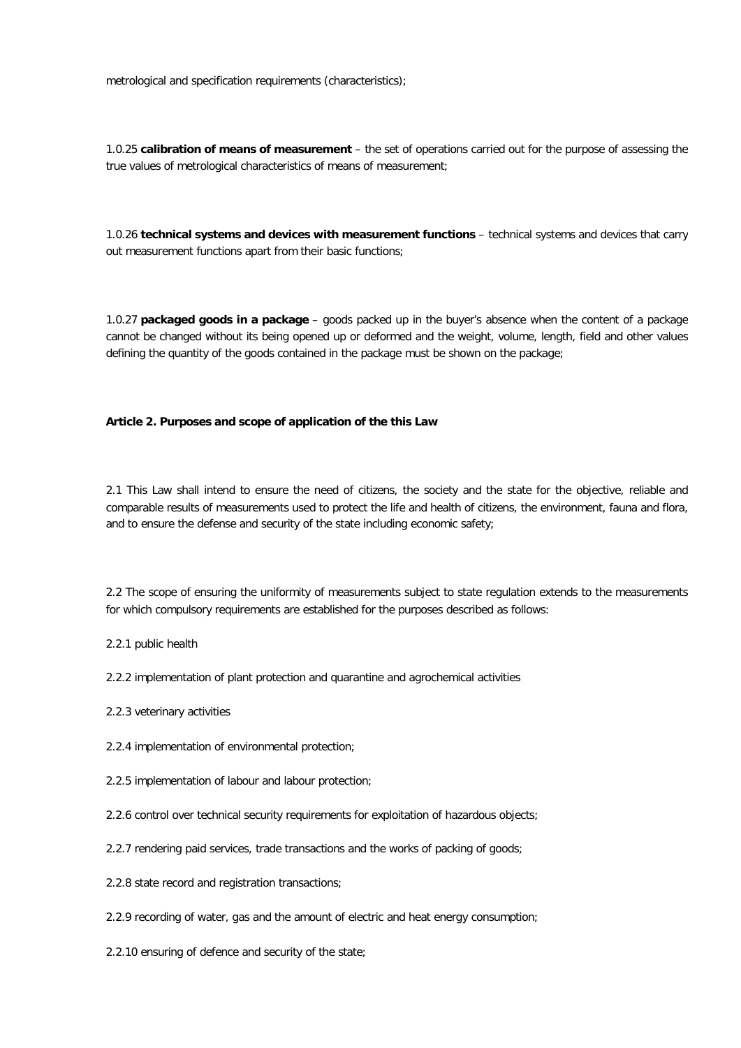metrological and specification requirements (characteristics);

1.0.25 **calibration of means of measurement** – the set of operations carried out for the purpose of assessing the true values of metrological characteristics of means of measurement;

1.0.26 **technical systems and devices with measurement functions** – technical systems and devices that carry out measurement functions apart from their basic functions;

1.0.27 **packaged goods in a package** – goods packed up in the buyer's absence when the content of a package cannot be changed without its being opened up or deformed and the weight, volume, length, field and other values defining the quantity of the goods contained in the package must be shown on the package;

#### **Article 2. Purposes and scope of application of the this Law**

2.1 This Law shall intend to ensure the need of citizens, the society and the state for the objective, reliable and comparable results of measurements used to protect the life and health of citizens, the environment, fauna and flora, and to ensure the defense and security of the state including economic safety;

2.2 The scope of ensuring the uniformity of measurements subject to state regulation extends to the measurements for which compulsory requirements are established for the purposes described as follows:

2.2.1 public health

2.2.2 implementation of plant protection and quarantine and agrochemical activities

- 2.2.3 veterinary activities
- 2.2.4 implementation of environmental protection;
- 2.2.5 implementation of labour and labour protection;
- 2.2.6 control over technical security requirements for exploitation of hazardous objects:
- 2.2.7 rendering paid services, trade transactions and the works of packing of goods;
- 2.2.8 state record and registration transactions;
- 2.2.9 recording of water, gas and the amount of electric and heat energy consumption;
- 2.2.10 ensuring of defence and security of the state;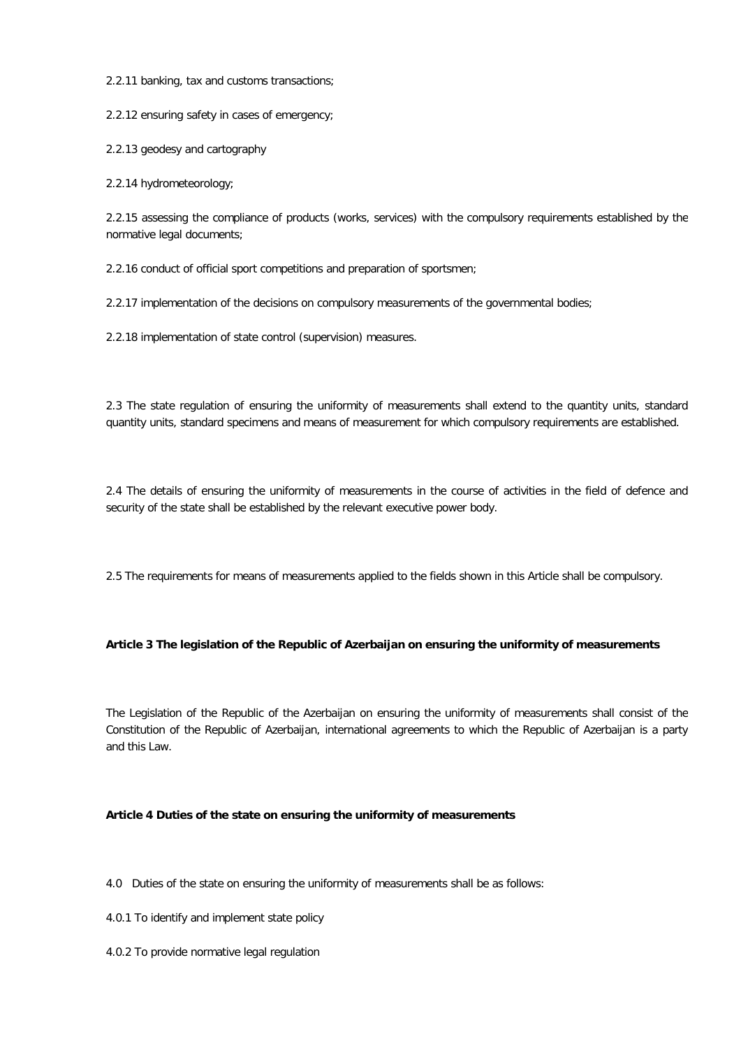2.2.11 banking, tax and customs transactions;

2.2.12 ensuring safety in cases of emergency;

2.2.13 geodesy and cartography

2.2.14 hydrometeorology;

2.2.15 assessing the compliance of products (works, services) with the compulsory requirements established by the normative legal documents;

2.2.16 conduct of official sport competitions and preparation of sportsmen;

2.2.17 implementation of the decisions on compulsory measurements of the governmental bodies;

2.2.18 implementation of state control (supervision) measures.

2.3 The state regulation of ensuring the uniformity of measurements shall extend to the quantity units, standard quantity units, standard specimens and means of measurement for which compulsory requirements are established.

2.4 The details of ensuring the uniformity of measurements in the course of activities in the field of defence and security of the state shall be established by the relevant executive power body.

2.5 The requirements for means of measurements applied to the fields shown in this Article shall be compulsory.

# **Article 3 The legislation of the Republic of Azerbaijan on ensuring the uniformity of measurements**

The Legislation of the Republic of the Azerbaijan on ensuring the uniformity of measurements shall consist of the Constitution of the Republic of Azerbaijan, international agreements to which the Republic of Azerbaijan is a party and this Law.

#### **Article 4 Duties of the state on ensuring the uniformity of measurements**

4.0 Duties of the state on ensuring the uniformity of measurements shall be as follows:

4.0.1 To identify and implement state policy

4.0.2 To provide normative legal regulation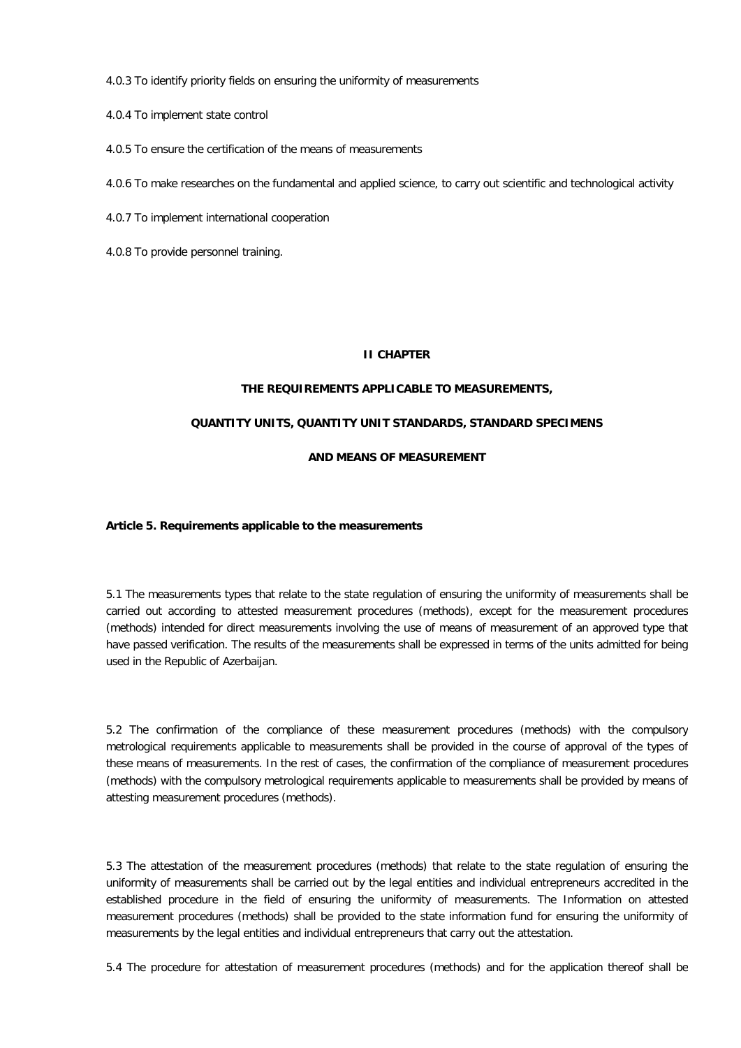4.0.3 To identify priority fields on ensuring the uniformity of measurements

- 4.0.4 To implement state control
- 4.0.5 To ensure the certification of the means of measurements

4.0.6 To make researches on the fundamental and applied science, to carry out scientific and technological activity

- 4.0.7 To implement international cooperation
- 4.0.8 To provide personnel training.

# **II CHAPTER**

# **THE REQUIREMENTS APPLICABLE TO MEASUREMENTS,**

# **QUANTITY UNITS, QUANTITY UNIT STANDARDS, STANDARD SPECIMENS**

# **AND MEANS OF MEASUREMENT**

#### **Article 5. Requirements applicable to the measurements**

5.1 The measurements types that relate to the state regulation of ensuring the uniformity of measurements shall be carried out according to attested measurement procedures (methods), except for the measurement procedures (methods) intended for direct measurements involving the use of means of measurement of an approved type that have passed verification. The results of the measurements shall be expressed in terms of the units admitted for being used in the Republic of Azerbaijan.

5.2 The confirmation of the compliance of these measurement procedures (methods) with the compulsory metrological requirements applicable to measurements shall be provided in the course of approval of the types of these means of measurements. In the rest of cases, the confirmation of the compliance of measurement procedures (methods) with the compulsory metrological requirements applicable to measurements shall be provided by means of attesting measurement procedures (methods).

5.3 The attestation of the measurement procedures (methods) that relate to the state regulation of ensuring the uniformity of measurements shall be carried out by the legal entities and individual entrepreneurs accredited in the established procedure in the field of ensuring the uniformity of measurements. The Information on attested measurement procedures (methods) shall be provided to the state information fund for ensuring the uniformity of measurements by the legal entities and individual entrepreneurs that carry out the attestation.

5.4 The procedure for attestation of measurement procedures (methods) and for the application thereof shall be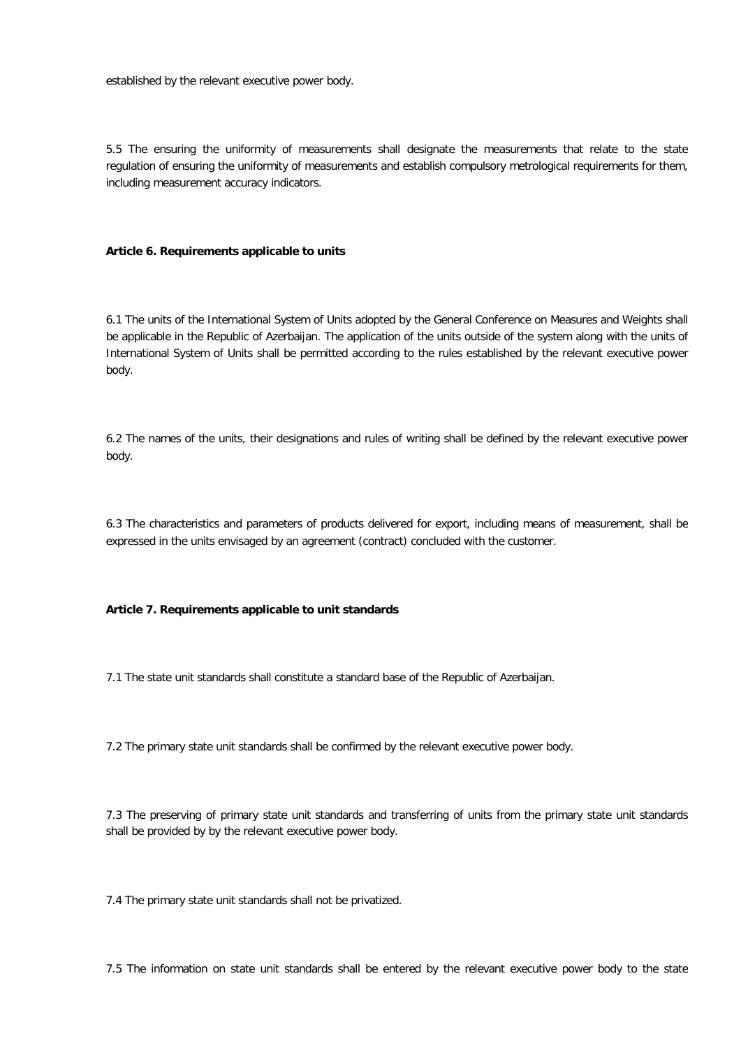established by the relevant executive power body.

5.5 The ensuring the uniformity of measurements shall designate the measurements that relate to the state regulation of ensuring the uniformity of measurements and establish compulsory metrological requirements for them, including measurement accuracy indicators.

# **Article 6. Requirements applicable to units**

6.1 The units of the International System of Units adopted by the General Conference on Measures and Weights shall be applicable in the Republic of Azerbaijan. The application of the units outside of the system along with the units of International System of Units shall be permitted according to the rules established by the relevant executive power body.

6.2 The names of the units, their designations and rules of writing shall be defined by the relevant executive power body.

6.3 The characteristics and parameters of products delivered for export, including means of measurement, shall be expressed in the units envisaged by an agreement (contract) concluded with the customer.

**Article 7. Requirements applicable to unit standards**

7.1 The state unit standards shall constitute a standard base of the Republic of Azerbaijan.

7.2 The primary state unit standards shall be confirmed by the relevant executive power body.

7.3 The preserving of primary state unit standards and transferring of units from the primary state unit standards shall be provided by by the relevant executive power body.

7.4 The primary state unit standards shall not be privatized.

7.5 The information on state unit standards shall be entered by the relevant executive power body to the state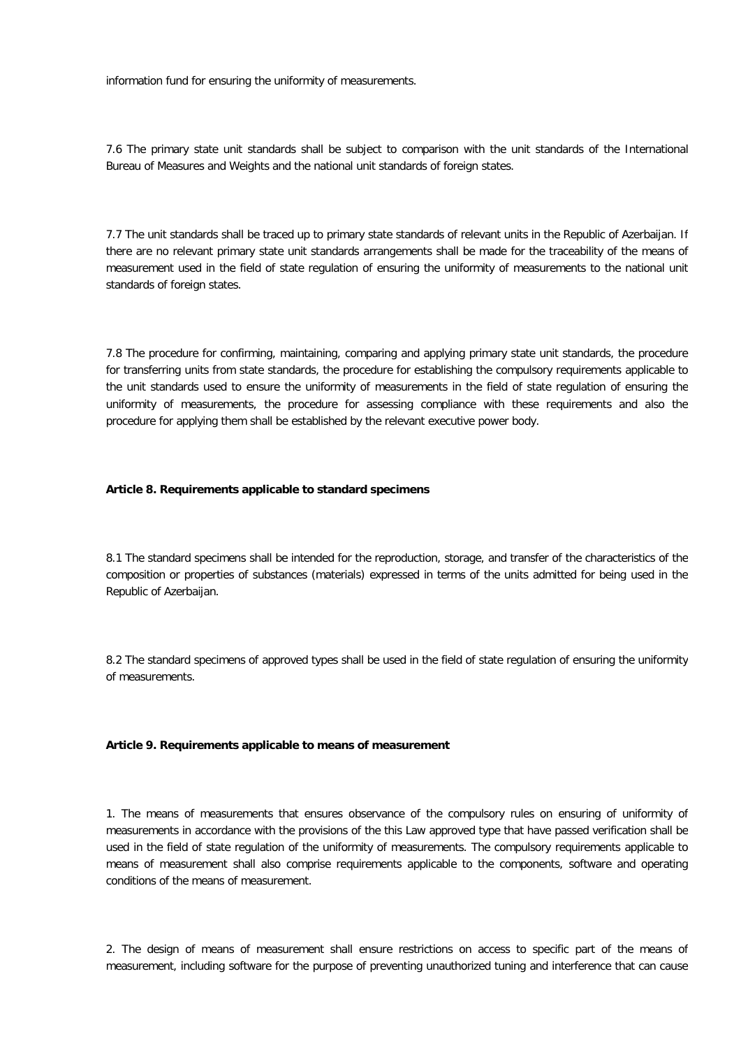information fund for ensuring the uniformity of measurements.

7.6 The primary state unit standards shall be subject to comparison with the unit standards of the International Bureau of Measures and Weights and the national unit standards of foreign states.

7.7 The unit standards shall be traced up to primary state standards of relevant units in the Republic of Azerbaijan. If there are no relevant primary state unit standards arrangements shall be made for the traceability of the means of measurement used in the field of state regulation of ensuring the uniformity of measurements to the national unit standards of foreign states.

7.8 The procedure for confirming, maintaining, comparing and applying primary state unit standards, the procedure for transferring units from state standards, the procedure for establishing the compulsory requirements applicable to the unit standards used to ensure the uniformity of measurements in the field of state regulation of ensuring the uniformity of measurements, the procedure for assessing compliance with these requirements and also the procedure for applying them shall be established by the relevant executive power body.

#### **Article 8. Requirements applicable to standard specimens**

8.1 The standard specimens shall be intended for the reproduction, storage, and transfer of the characteristics of the composition or properties of substances (materials) expressed in terms of the units admitted for being used in the Republic of Azerbaijan.

8.2 The standard specimens of approved types shall be used in the field of state regulation of ensuring the uniformity of measurements.

#### **Article 9. Requirements applicable to means of measurement**

1. The means of measurements that ensures observance of the compulsory rules on ensuring of uniformity of measurements in accordance with the provisions of the this Law approved type that have passed verification shall be used in the field of state regulation of the uniformity of measurements. The compulsory requirements applicable to means of measurement shall also comprise requirements applicable to the components, software and operating conditions of the means of measurement.

2. The design of means of measurement shall ensure restrictions on access to specific part of the means of measurement, including software for the purpose of preventing unauthorized tuning and interference that can cause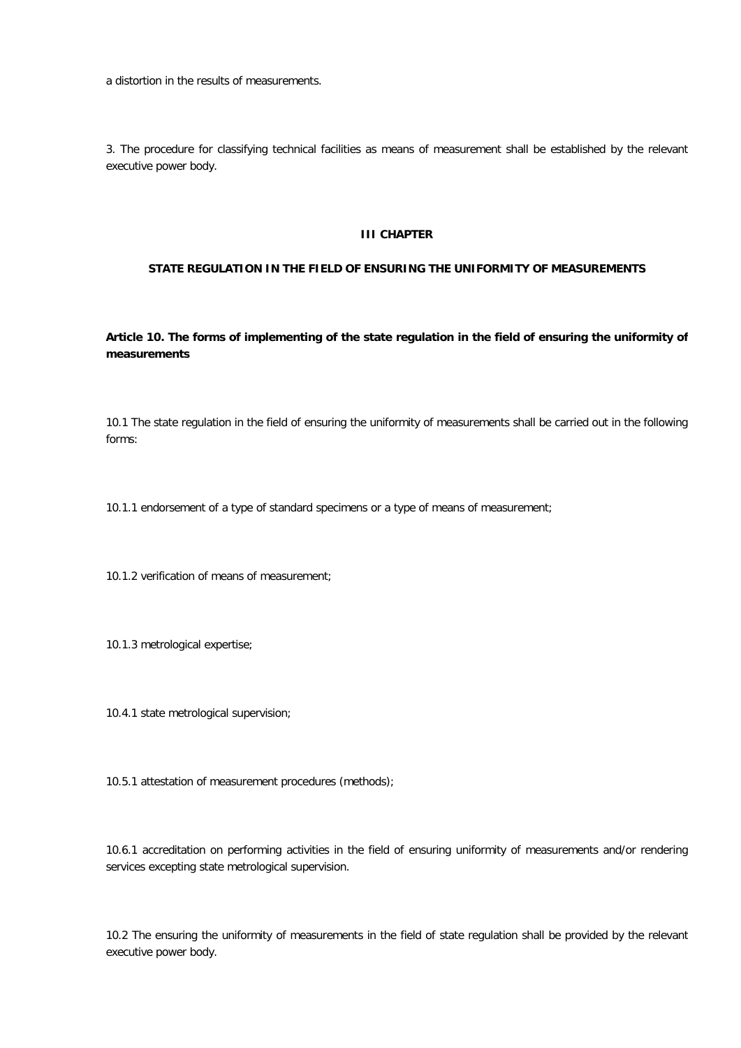a distortion in the results of measurements.

3. The procedure for classifying technical facilities as means of measurement shall be established by the relevant executive power body.

#### **III CHAPTER**

# **STATE REGULATION IN THE FIELD OF ENSURING THE UNIFORMITY OF MEASUREMENTS**

**Article 10. The forms of implementing of the state regulation in the field of ensuring the uniformity of measurements**

10.1 The state regulation in the field of ensuring the uniformity of measurements shall be carried out in the following forms:

10.1.1 endorsement of a type of standard specimens or a type of means of measurement;

10.1.2 verification of means of measurement;

10.1.3 metrological expertise;

10.4.1 state metrological supervision;

10.5.1 attestation of measurement procedures (methods);

10.6.1 accreditation on performing activities in the field of ensuring uniformity of measurements and/or rendering services excepting state metrological supervision.

10.2 The ensuring the uniformity of measurements in the field of state regulation shall be provided by the relevant executive power body.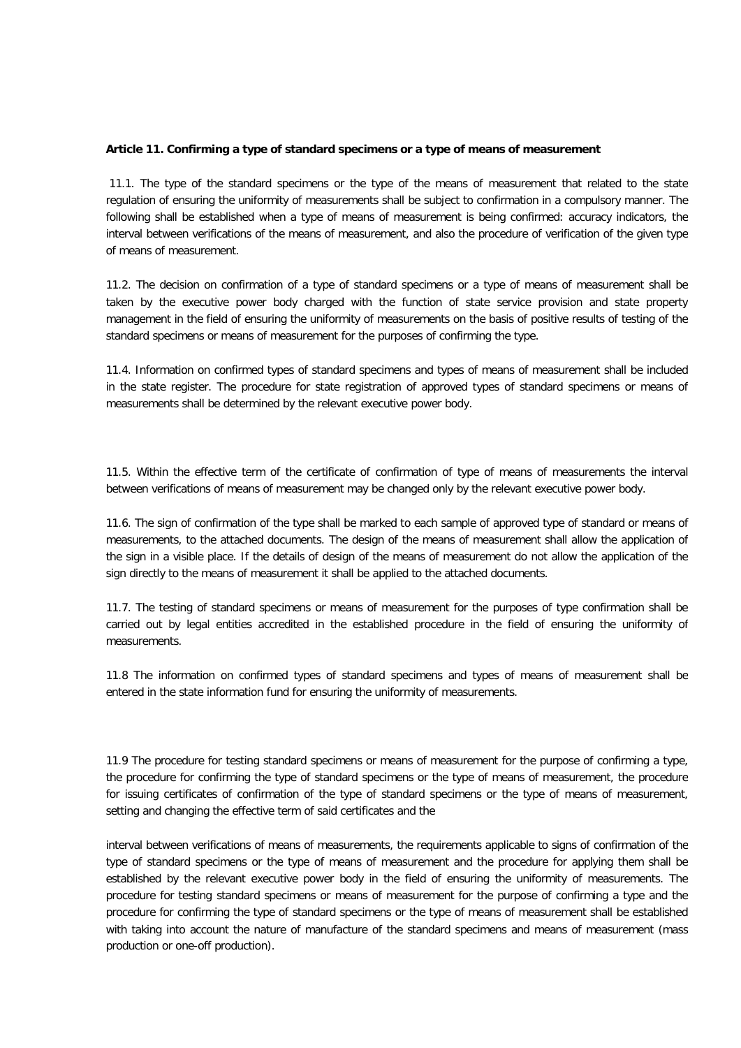#### **Article 11. Confirming a type of standard specimens or a type of means of measurement**

11.1. The type of the standard specimens or the type of the means of measurement that related to the state regulation of ensuring the uniformity of measurements shall be subject to confirmation in a compulsory manner. The following shall be established when a type of means of measurement is being confirmed: accuracy indicators, the interval between verifications of the means of measurement, and also the procedure of verification of the given type of means of measurement.

11.2. The decision on confirmation of a type of standard specimens or a type of means of measurement shall be taken by the executive power body charged with the function of state service provision and state property management in the field of ensuring the uniformity of measurements on the basis of positive results of testing of the standard specimens or means of measurement for the purposes of confirming the type.

11.4. Information on confirmed types of standard specimens and types of means of measurement shall be included in the state register. The procedure for state registration of approved types of standard specimens or means of measurements shall be determined by the relevant executive power body.

11.5. Within the effective term of the certificate of confirmation of type of means of measurements the interval between verifications of means of measurement may be changed only by the relevant executive power body.

11.6. The sign of confirmation of the type shall be marked to each sample of approved type of standard or means of measurements, to the attached documents. The design of the means of measurement shall allow the application of the sign in a visible place. If the details of design of the means of measurement do not allow the application of the sign directly to the means of measurement it shall be applied to the attached documents.

11.7. The testing of standard specimens or means of measurement for the purposes of type confirmation shall be carried out by legal entities accredited in the established procedure in the field of ensuring the uniformity of measurements.

11.8 The information on confirmed types of standard specimens and types of means of measurement shall be entered in the state information fund for ensuring the uniformity of measurements.

11.9 The procedure for testing standard specimens or means of measurement for the purpose of confirming a type, the procedure for confirming the type of standard specimens or the type of means of measurement, the procedure for issuing certificates of confirmation of the type of standard specimens or the type of means of measurement, setting and changing the effective term of said certificates and the

interval between verifications of means of measurements, the requirements applicable to signs of confirmation of the type of standard specimens or the type of means of measurement and the procedure for applying them shall be established by the relevant executive power body in the field of ensuring the uniformity of measurements. The procedure for testing standard specimens or means of measurement for the purpose of confirming a type and the procedure for confirming the type of standard specimens or the type of means of measurement shall be established with taking into account the nature of manufacture of the standard specimens and means of measurement (mass production or one-off production).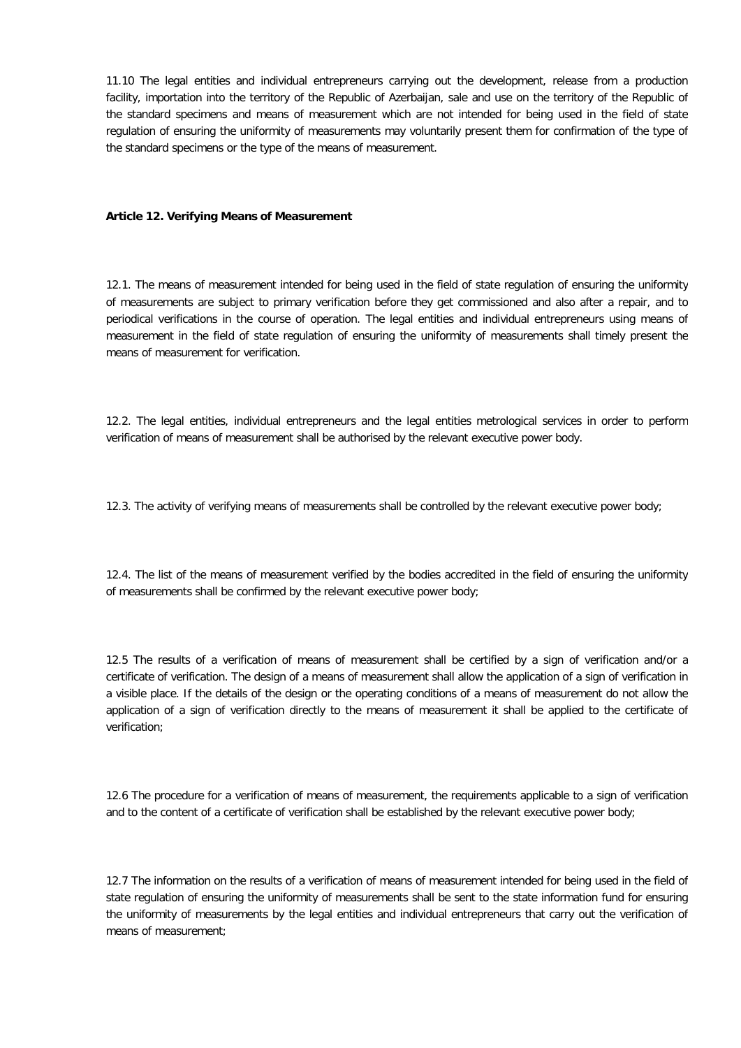11.10 The legal entities and individual entrepreneurs carrying out the development, release from a production facility, importation into the territory of the Republic of Azerbaijan, sale and use on the territory of the Republic of the standard specimens and means of measurement which are not intended for being used in the field of state regulation of ensuring the uniformity of measurements may voluntarily present them for confirmation of the type of the standard specimens or the type of the means of measurement.

#### **Article 12. Verifying Means of Measurement**

12.1. The means of measurement intended for being used in the field of state regulation of ensuring the uniformity of measurements are subject to primary verification before they get commissioned and also after a repair, and to periodical verifications in the course of operation. The legal entities and individual entrepreneurs using means of measurement in the field of state regulation of ensuring the uniformity of measurements shall timely present the means of measurement for verification.

12.2. The legal entities, individual entrepreneurs and the legal entities metrological services in order to perform verification of means of measurement shall be authorised by the relevant executive power body.

12.3. The activity of verifying means of measurements shall be controlled by the relevant executive power body;

12.4. The list of the means of measurement verified by the bodies accredited in the field of ensuring the uniformity of measurements shall be confirmed by the relevant executive power body;

12.5 The results of a verification of means of measurement shall be certified by a sign of verification and/or a certificate of verification. The design of a means of measurement shall allow the application of a sign of verification in a visible place. If the details of the design or the operating conditions of a means of measurement do not allow the application of a sign of verification directly to the means of measurement it shall be applied to the certificate of verification;

12.6 The procedure for a verification of means of measurement, the requirements applicable to a sign of verification and to the content of a certificate of verification shall be established by the relevant executive power body;

12.7 The information on the results of a verification of means of measurement intended for being used in the field of state regulation of ensuring the uniformity of measurements shall be sent to the state information fund for ensuring the uniformity of measurements by the legal entities and individual entrepreneurs that carry out the verification of means of measurement;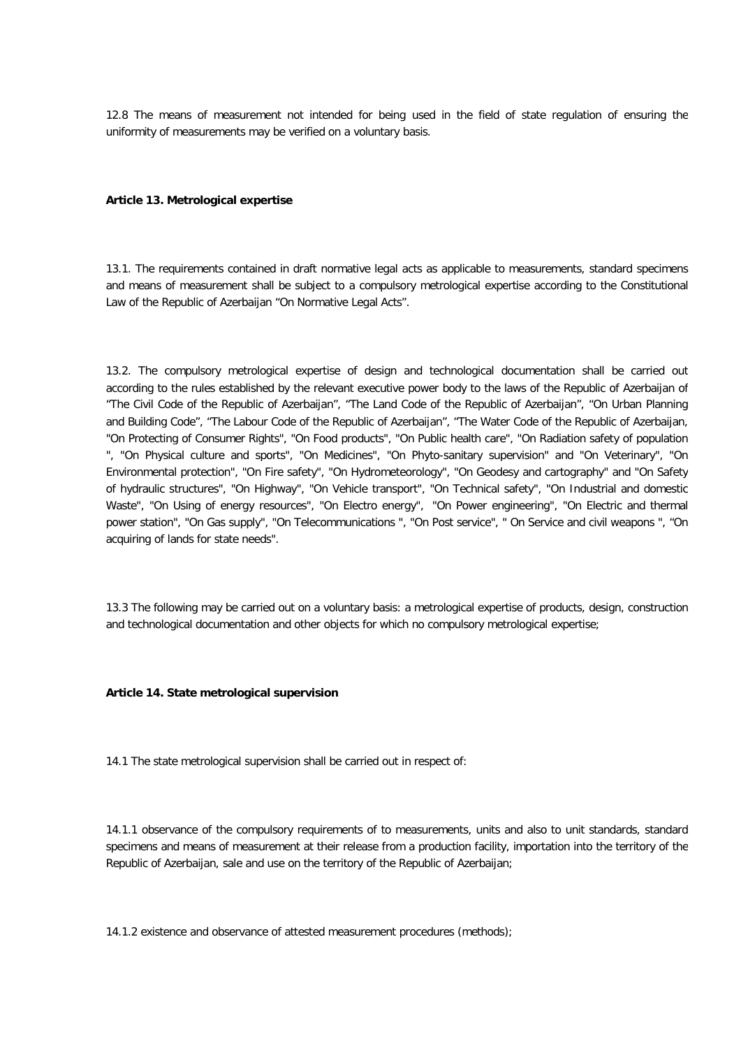12.8 The means of measurement not intended for being used in the field of state regulation of ensuring the uniformity of measurements may be verified on a voluntary basis.

#### **Article 13. Metrological expertise**

13.1. The requirements contained in draft normative legal acts as applicable to measurements, standard specimens and means of measurement shall be subject to a compulsory metrological expertise according to the Constitutional Law of the Republic of Azerbaijan "On Normative Legal Acts".

13.2. The compulsory metrological expertise of design and technological documentation shall be carried out according to the rules established by the relevant executive power body to the laws of the Republic of Azerbaijan of "The Civil Code of the Republic of Azerbaijan", "The Land Code of the Republic of Azerbaijan", "On Urban Planning and Building Code", "The Labour Code of the Republic of Azerbaijan", "The Water Code of the Republic of Azerbaijan, "On Protecting of Consumer Rights", "On Food products", "On Public health care", "On Radiation safety of population ", "On Physical culture and sports", "On Medicines", "On Phyto-sanitary supervision" and "On Veterinary", "On Environmental protection", "On Fire safety", "On Hydrometeorology", "On Geodesy and cartography" and "On Safety of hydraulic structures", "On Highway", "On Vehicle transport", "On Technical safety", "On Industrial and domestic Waste", "On Using of energy resources", "On Electro energy", "On Power engineering", "On Electric and thermal power station", "On Gas supply", "On Telecommunications ", "On Post service", " On Service and civil weapons ", "On acquiring of lands for state needs".

13.3 The following may be carried out on a voluntary basis: a metrological expertise of products, design, construction and technological documentation and other objects for which no compulsory metrological expertise;

#### **Article 14. State metrological supervision**

14.1 The state metrological supervision shall be carried out in respect of:

14.1.1 observance of the compulsory requirements of to measurements, units and also to unit standards, standard specimens and means of measurement at their release from a production facility, importation into the territory of the Republic of Azerbaijan, sale and use on the territory of the Republic of Azerbaijan;

14.1.2 existence and observance of attested measurement procedures (methods);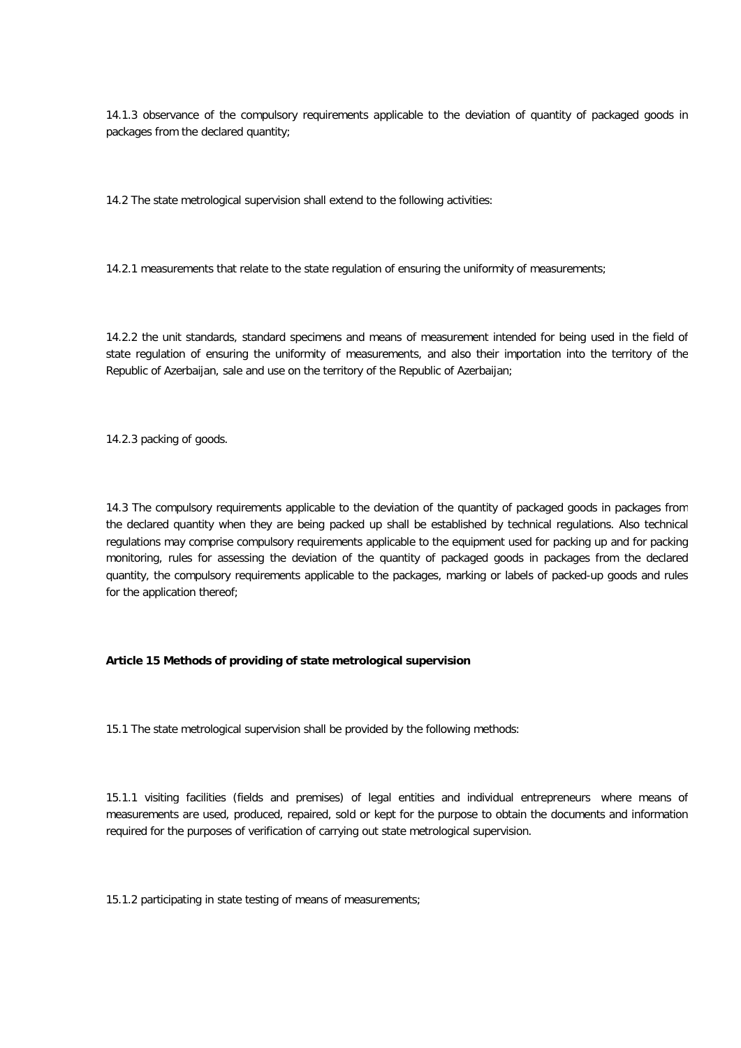14.1.3 observance of the compulsory requirements applicable to the deviation of quantity of packaged goods in packages from the declared quantity;

14.2 The state metrological supervision shall extend to the following activities:

14.2.1 measurements that relate to the state regulation of ensuring the uniformity of measurements;

14.2.2 the unit standards, standard specimens and means of measurement intended for being used in the field of state regulation of ensuring the uniformity of measurements, and also their importation into the territory of the Republic of Azerbaijan, sale and use on the territory of the Republic of Azerbaijan;

14.2.3 packing of goods.

14.3 The compulsory requirements applicable to the deviation of the quantity of packaged goods in packages from the declared quantity when they are being packed up shall be established by technical regulations. Also technical regulations may comprise compulsory requirements applicable to the equipment used for packing up and for packing monitoring, rules for assessing the deviation of the quantity of packaged goods in packages from the declared quantity, the compulsory requirements applicable to the packages, marking or labels of packed-up goods and rules for the application thereof;

# **Article 15 Methods of providing of state metrological supervision**

15.1 The state metrological supervision shall be provided by the following methods:

15.1.1 visiting facilities (fields and premises) of legal entities and individual entrepreneurs where means of measurements are used, produced, repaired, sold or kept for the purpose to obtain the documents and information required for the purposes of verification of carrying out state metrological supervision.

15.1.2 participating in state testing of means of measurements;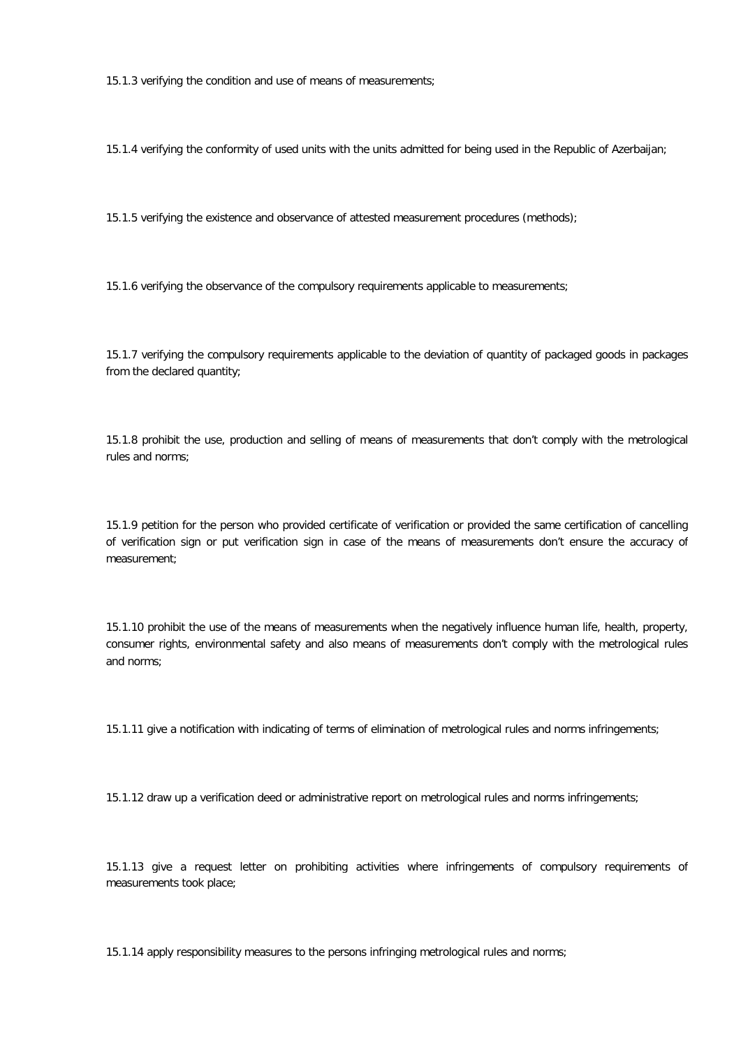15.1.3 verifying the condition and use of means of measurements;

15.1.4 verifying the conformity of used units with the units admitted for being used in the Republic of Azerbaijan;

15.1.5 verifying the existence and observance of attested measurement procedures (methods);

15.1.6 verifying the observance of the compulsory requirements applicable to measurements;

15.1.7 verifying the compulsory requirements applicable to the deviation of quantity of packaged goods in packages from the declared quantity;

15.1.8 prohibit the use, production and selling of means of measurements that don't comply with the metrological rules and norms;

15.1.9 petition for the person who provided certificate of verification or provided the same certification of cancelling of verification sign or put verification sign in case of the means of measurements don't ensure the accuracy of measurement;

15.1.10 prohibit the use of the means of measurements when the negatively influence human life, health, property, consumer rights, environmental safety and also means of measurements don't comply with the metrological rules and norms;

15.1.11 give a notification with indicating of terms of elimination of metrological rules and norms infringements;

15.1.12 draw up a verification deed or administrative report on metrological rules and norms infringements;

15.1.13 give a request letter on prohibiting activities where infringements of compulsory requirements of measurements took place;

15.1.14 apply responsibility measures to the persons infringing metrological rules and norms;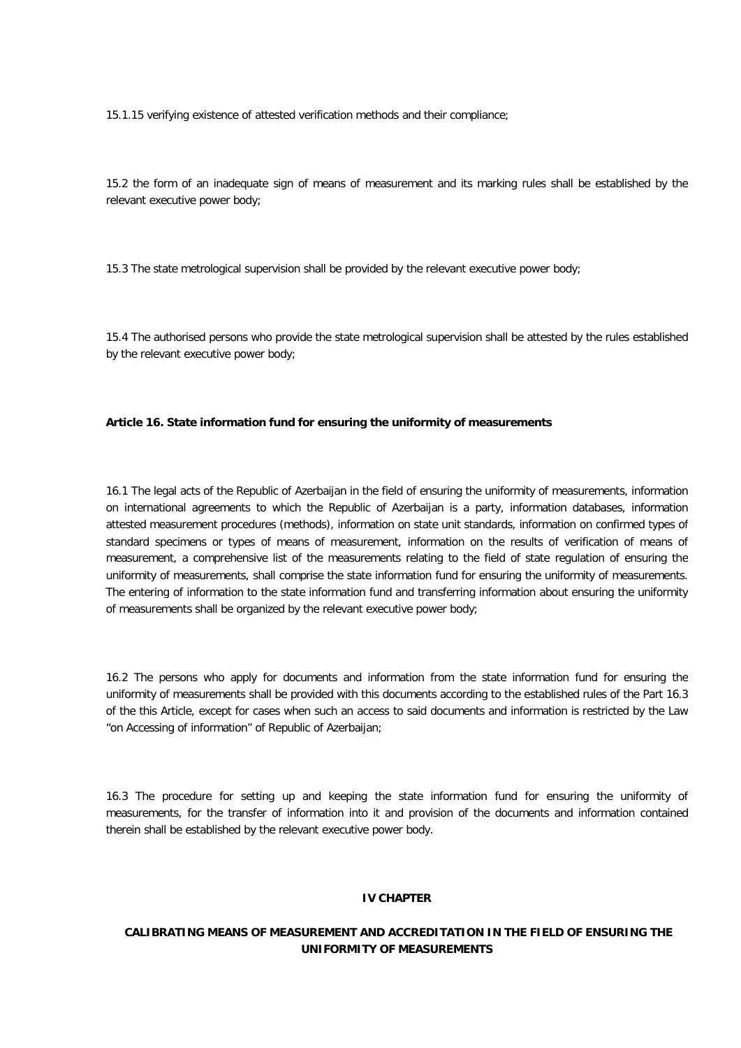15.1.15 verifying existence of attested verification methods and their compliance;

15.2 the form of an inadequate sign of means of measurement and its marking rules shall be established by the relevant executive power body;

15.3 The state metrological supervision shall be provided by the relevant executive power body;

15.4 The authorised persons who provide the state metrological supervision shall be attested by the rules established by the relevant executive power body;

#### **Article 16. State information fund for ensuring the uniformity of measurements**

16.1 The legal acts of the Republic of Azerbaijan in the field of ensuring the uniformity of measurements, information on international agreements to which the Republic of Azerbaijan is a party, information databases, information attested measurement procedures (methods), information on state unit standards, information on confirmed types of standard specimens or types of means of measurement, information on the results of verification of means of measurement, a comprehensive list of the measurements relating to the field of state regulation of ensuring the uniformity of measurements, shall comprise the state information fund for ensuring the uniformity of measurements. The entering of information to the state information fund and transferring information about ensuring the uniformity of measurements shall be organized by the relevant executive power body;

16.2 The persons who apply for documents and information from the state information fund for ensuring the uniformity of measurements shall be provided with this documents according to the established rules of the Part 16.3 of the this Article, except for cases when such an access to said documents and information is restricted by the Law "on Accessing of information" of Republic of Azerbaijan;

16.3 The procedure for setting up and keeping the state information fund for ensuring the uniformity of measurements, for the transfer of information into it and provision of the documents and information contained therein shall be established by the relevant executive power body.

#### **IV CHAPTER**

# **CALIBRATING MEANS OF MEASUREMENT AND ACCREDITATION IN THE FIELD OF ENSURING THE UNIFORMITY OF MEASUREMENTS**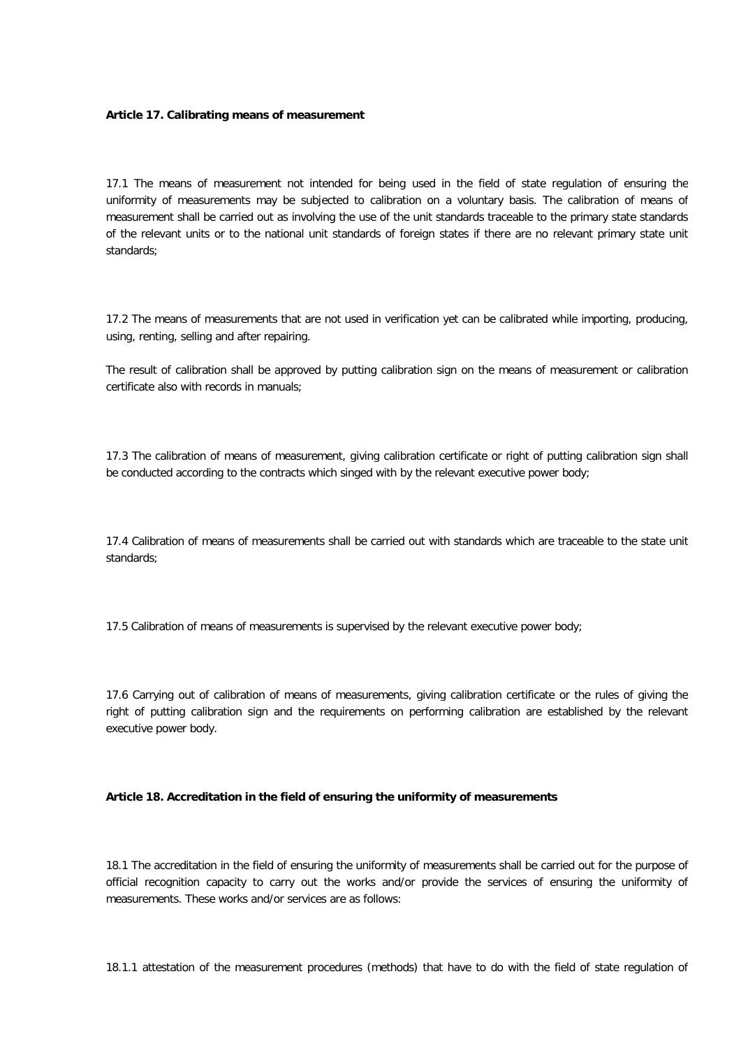## **Article 17. Calibrating means of measurement**

17.1 The means of measurement not intended for being used in the field of state regulation of ensuring the uniformity of measurements may be subjected to calibration on a voluntary basis. The calibration of means of measurement shall be carried out as involving the use of the unit standards traceable to the primary state standards of the relevant units or to the national unit standards of foreign states if there are no relevant primary state unit standards;

17.2 The means of measurements that are not used in verification yet can be calibrated while importing, producing, using, renting, selling and after repairing.

The result of calibration shall be approved by putting calibration sign on the means of measurement or calibration certificate also with records in manuals;

17.3 The calibration of means of measurement, giving calibration certificate or right of putting calibration sign shall be conducted according to the contracts which singed with by the relevant executive power body;

17.4 Calibration of means of measurements shall be carried out with standards which are traceable to the state unit standards;

17.5 Calibration of means of measurements is supervised by the relevant executive power body;

17.6 Carrying out of calibration of means of measurements, giving calibration certificate or the rules of giving the right of putting calibration sign and the requirements on performing calibration are established by the relevant executive power body.

# **Article 18. Accreditation in the field of ensuring the uniformity of measurements**

18.1 The accreditation in the field of ensuring the uniformity of measurements shall be carried out for the purpose of official recognition capacity to carry out the works and/or provide the services of ensuring the uniformity of measurements. These works and/or services are as follows:

18.1.1 attestation of the measurement procedures (methods) that have to do with the field of state regulation of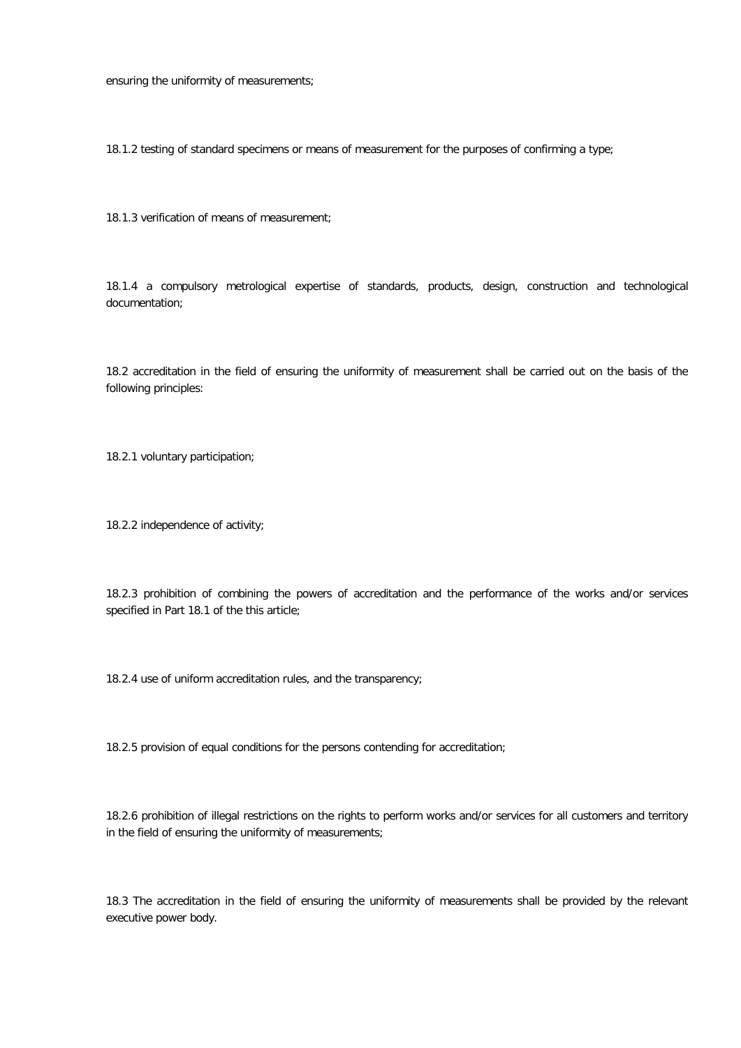ensuring the uniformity of measurements;

18.1.2 testing of standard specimens or means of measurement for the purposes of confirming a type;

18.1.3 verification of means of measurement;

18.1.4 a compulsory metrological expertise of standards, products, design, construction and technological documentation;

18.2 accreditation in the field of ensuring the uniformity of measurement shall be carried out on the basis of the following principles:

18.2.1 voluntary participation;

18.2.2 independence of activity;

18.2.3 prohibition of combining the powers of accreditation and the performance of the works and/or services specified in Part 18.1 of the this article;

18.2.4 use of uniform accreditation rules, and the transparency;

18.2.5 provision of equal conditions for the persons contending for accreditation;

18.2.6 prohibition of illegal restrictions on the rights to perform works and/or services for all customers and territory in the field of ensuring the uniformity of measurements;

18.3 The accreditation in the field of ensuring the uniformity of measurements shall be provided by the relevant executive power body.